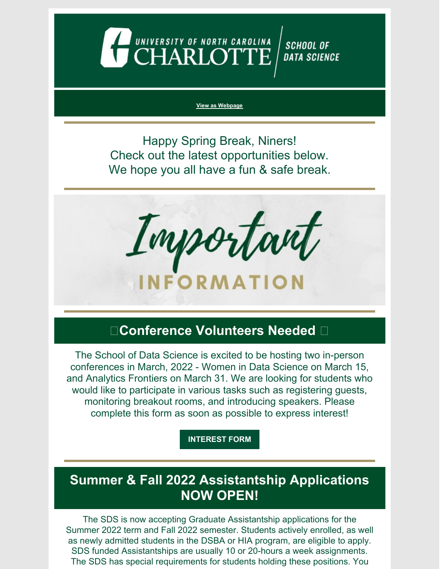

#### **View as [Webpage](https://campaignlp.constantcontact.com/em/1130527463971/57b66f8b-c779-4852-9bdc-7ddd9141f207)**

Happy Spring Break, Niners! Check out the latest opportunities below. We hope you all have a fun & safe break.

Important NFORMATION

## **Conference Volunteers Needed**

The School of Data Science is excited to be hosting two in-person conferences in March, 2022 - Women in Data Science on March 15, and Analytics Frontiers on March 31. We are looking for students who would like to participate in various tasks such as registering guests, monitoring breakout rooms, and introducing speakers. Please complete this form as soon as possible to express interest!

**[INTEREST](https://forms.gle/GXeavoKjQjErXKR5A) FORM**

## **Summer & Fall 2022 Assistantship Applications NOW OPEN!**

The SDS is now accepting Graduate Assistantship applications for the Summer 2022 term and Fall 2022 semester. Students actively enrolled, as well as newly admitted students in the DSBA or HIA program, are eligible to apply. SDS funded Assistantships are usually 10 or 20-hours a week assignments. The SDS has special requirements for students holding these positions. You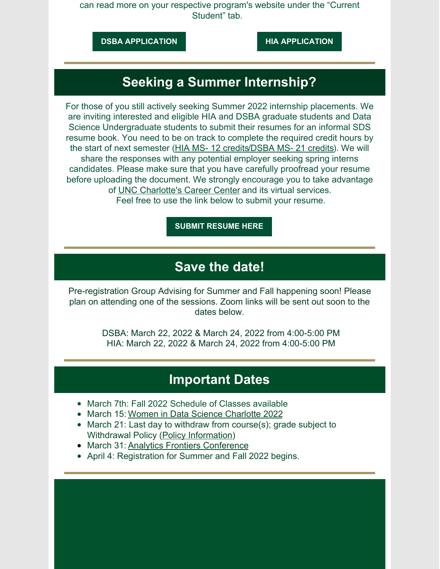can read more on your respective program's website under the "Current Student" tab.

**DSBA [APPLICATION](https://dsba.charlotte.edu/current-students/graduate-assistantships) HIA [APPLICATION](https://hia.charlotte.edu/current-students/graduate-assistantships)**

## **Seeking a Summer Internship?**

For those of you still actively seeking Summer 2022 internship placements. We are inviting interested and eligible HIA and DSBA graduate students and Data Science Undergraduate students to submit their resumes for an informal SDS resume book. You need to be on track to complete the required credit hours by the start of next semester (HIA MS- 12 [credits](https://hia.charlotte.edu/curriculum/internship-course-information)/DSBA MS- 21 [credits](https://dsba.charlotte.edu/curriculum/internship)). We will share the responses with any potential employer seeking spring interns candidates. Please make sure that you have carefully proofread your resume before uploading the document. We strongly encourage you to take advantage of UNC [Charlotte's](https://career.uncc.edu/) Career Center and its virtual services. Feel free to use the link below to submit your resume.

**SUBMIT [RESUME](https://docs.google.com/forms/d/e/1FAIpQLSd-3VGaHIQNb9Fw2_AgBWyAmK_YrPcIfWLHipIUZ5P7H9xKFw/viewform?usp=sf_linkYRDbhsv7oHQFM4Vw/viewform?usp=sf_link) HERE**

#### **Save the date!**

Pre-registration Group Advising for Summer and Fall happening soon! Please plan on attending one of the sessions. Zoom links will be sent out soon to the dates below.

> DSBA: March 22, 2022 & March 24, 2022 from 4:00-5:00 PM HIA: March 22, 2022 & March 24, 2022 from 4:00-5:00 PM

#### **Important Dates**

- March 7th: Fall 2022 Schedule of Classes available
- March 15: Women in Data Science [Charlotte](https://widscharlotte.charlotte.edu/) 2022
- March 21: Last day to withdraw from course(s); grade subject to Withdrawal Policy (Policy [Information](https://provost.uncc.edu/policies-procedures/academic-policies-and-procedures/withdrawal-and-cancellation-enrollment-policy))
- March 31: Analytics Frontiers [Conference](https://analyticsfrontiers.charlotte.edu/)
- April 4: Registration for Summer and Fall 2022 begins.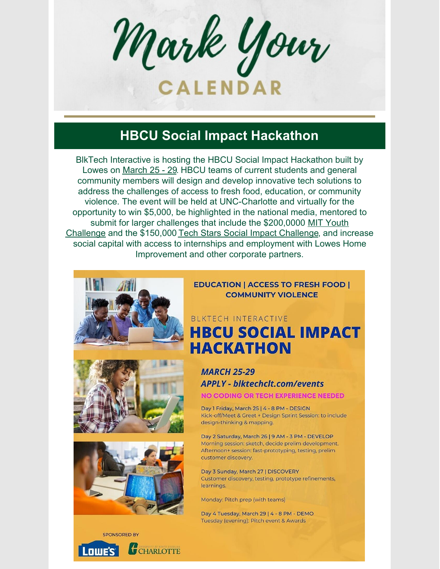Mark Your **ALENDAR** 

## **HBCU Social Impact Hackathon**

BlkTech Interactive is hosting the HBCU Social Impact Hackathon built by Lowes on March 25 - 29. HBCU teams of current students and general community members will design and develop innovative tech solutions to address the challenges of access to fresh food, education, or community violence. The event will be held at UNC-Charlotte and virtually for the opportunity to win \$5,000, be highlighted in the national media, mentored to submit for larger challenges that include the \$200,0000 MIT Youth Challenge and the \$150,000 Tech Stars Social Impact Challenge, and increase social capital with access to internships and employment with Lowes Home Improvement and other corporate partners.







**EDUCATION | ACCESS TO FRESH FOOD | COMMUNITY VIOLENCE** 

### BLKTECH INTERACTIVE **HBCU SOCIAL IMPACT HACKATHON**

#### **MARCH 25-29 APPLY - blktechclt.com/events NO CODING OR TECH EXPERIENCE NEEDED**

Day 1 Friday, March 25 | 4 - 8 PM - DESIGN Kick-off/Meet & Greet + Design Sprint Session: to include design-thinking & mapping.

Day 2 Saturday, March 26 | 9 AM - 3 PM - DEVELOP Morning session: sketch, decide prelim development. Afternoon+ session: fast-prototyping, testing, prelim customer discovery.

Day 3 Sunday, March 27 | DISCOVERY Customer discovery, testing, prototype refinements, learnings.

Monday: Pitch prep (with teams)

Day 4 Tuesday, March 29 | 4 - 8 PM - DEMO Tuesday (evening): Pitch event & Awards



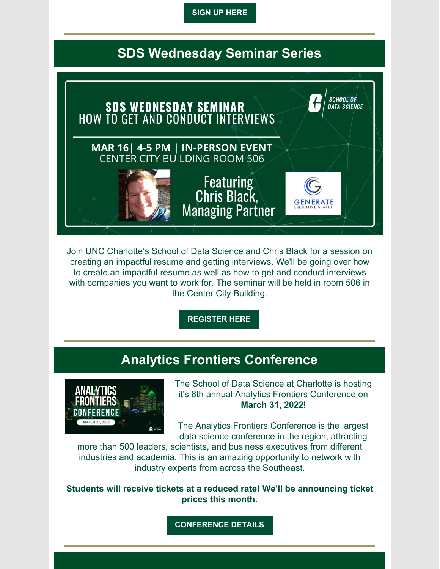**SIGN UP [HERE](https://docs.google.com/forms/d/e/1FAIpQLSdeNHys76NskcveI_4SrTmyFf7106x_1ZFr7PrjCub4AcovDA/viewform?_hsmi=205489028&_hsenc=p2ANqtz-_nsbo3o-VSF9QLtfDURBqBHUxu88QnUvdr4hfBmc0l9zzVrLBmj8Flh3QpQnxMX9UU5zlTZNGd5HdoD6tutivmn_2YSQ)**

## **SDS Wednesday Seminar Series**



Join UNC Charlotte's School of Data Science and Chris Black for a session on creating an impactful resume and getting interviews. We'll be going over how to create an impactful resume as well as how to get and conduct interviews with companies you want to work for. The seminar will be held in room 506 in the Center City Building.

**[REGISTER](https://www.eventbrite.com/e/sds-wednesday-seminar-how-to-get-and-conduct-interviews-tickets-272230828737) HERE**

### **Analytics Frontiers Conference**



The School of Data Science at Charlotte is hosting it's 8th annual Analytics Frontiers Conference on **March 31, 2022**!

The Analytics Frontiers Conference is the largest data science conference in the region, attracting

more than 500 leaders, scientists, and business executives from different industries and academia. This is an amazing opportunity to network with industry experts from across the Southeast.

**Students will receive tickets at a reduced rate! We'll be announcing ticket prices this month.**

**[CONFERENCE](https://analyticsfrontiers.charlotte.edu/) DETAILS**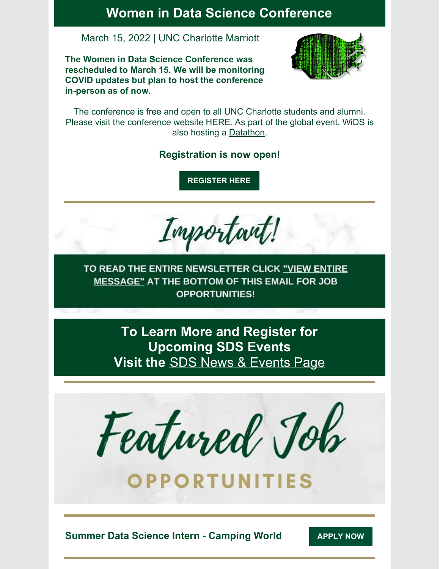#### **Women in Data Science Conference**

#### March 15, 2022 | UNC Charlotte Marriott

**The Women in Data Science Conference was rescheduled to March 15. We will be monitoring COVID updates but plan to host the conference in-person as of now.**



The conference is free and open to all UNC Charlotte students and alumni. Please visit the conference website **[HERE](https://widscharlotte.charlotte.edu/)**. As part of the global event, WiDS is also hosting a [Datathon.](https://www.widsconference.org/datathon.html)

#### **Registration is now open!**

**[REGISTER](https://widscharlotte.charlotte.edu/) HERE**

Important!

TO READ THE ENTIRE NEWSLETTER CLICK "VIEW ENTIRE MESSAGE" AT THE BOTTOM OF THIS EMAIL FOR JOB **OPPORTUNITIES!** 

> **To Learn More and Register for Upcoming SDS Events Visit the** SDS News & [Events](https://datascience.charlotte.edu/recent-news) Page

Featured Job

OPPORTUNITIES

**Summer Data Science Intern - Camping World [APPLY](https://docs.google.com/document/d/1GuBi6o4CKbsidqMHxvGQ3mrNBsBCJh80LLmveQ29Rf0/edit?usp=sharing) NOW**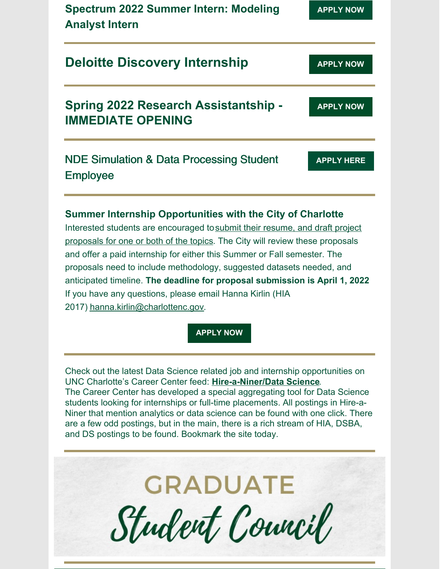| <b>Spectrum 2022 Summer Intern: Modeling</b><br><b>Analyst Intern</b>                                                                      | <b>APPLY NOW</b>  |
|--------------------------------------------------------------------------------------------------------------------------------------------|-------------------|
| <b>Deloitte Discovery Internship</b>                                                                                                       | <b>APPLY NOW</b>  |
| <b>Spring 2022 Research Assistantship -</b><br><b>IMMEDIATE OPENING</b>                                                                    | <b>APPLY NOW</b>  |
| <b>NDE Simulation &amp; Data Processing Student</b><br><b>Employee</b>                                                                     | <b>APPLY HERE</b> |
| Summer Internship Opportunities with the City of Charlotte<br>Interested students are encouraged to submit their resume, and draft project |                   |

proposals for one or both of the topics. The City will review these proposals and offer a paid internship for either this Summer or Fall semester. The proposals need to include methodology, suggested datasets needed, and anticipated timeline. **The deadline for proposal submission is April 1, 2022**. If you have any questions, please email Hanna Kirlin (HIA 2017) [hanna.kirlin@charlottenc.gov](mailto:hanna.kirlin@charlottenc.gov).

**[APPLY](https://docs.google.com/forms/d/e/1FAIpQLSe4vhpzKEBWeWWtRzAZcMyT9b6S3Oh4j-_sEgF53reXSX2npQ/closedform) NOW**

Check out the latest Data Science related job and internship opportunities on UNC Charlotte's Career Center feed: **[Hire-a-Niner/Data](https://hireaniner.uncc.edu/jobs/type:SoDS) Science**. The Career Center has developed a special aggregating tool for Data Science students looking for internships or full-time placements. All postings in Hire-a-Niner that mention analytics or data science can be found with one click. There are a few odd postings, but in the main, there is a rich stream of HIA, DSBA, and DS postings to be found. Bookmark the site today.

**GRADUATE** 

Student Council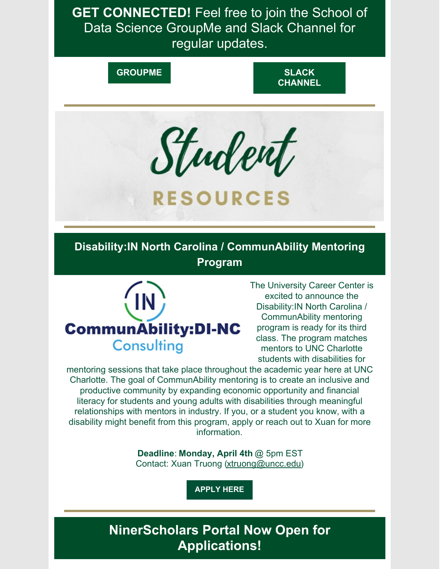**GET CONNECTED!** Feel free to join the School of Data Science GroupMe and Slack Channel for regular updates.

**[GROUPME](https://groupme.com/join_group/65826983/pjXqaF8d) SLACK [CHANNEL](https://join.slack.com/t/uncc-data-science/shared_invite/zt-mw2u30ev-HqpNlg4PNaABcWUX_DcZ0g)**



# **RESOURCES**

**Disability:IN North Carolina / CommunAbility Mentoring Program**



The University Career Center is excited to announce the Disability:IN North Carolina / CommunAbility mentoring program is ready for its third class. The program matches mentors to UNC Charlotte students with disabilities for

mentoring sessions that take place throughout the academic year here at UNC Charlotte. The goal of CommunAbility mentoring is to create an inclusive and productive community by expanding economic opportunity and financial literacy for students and young adults with disabilities through meaningful relationships with mentors in industry. If you, or a student you know, with a disability might benefit from this program, apply or reach out to Xuan for more information.

> **Deadline**: **Monday, April 4th** @ 5pm EST Contact: Xuan Truong (xtruong@uncc.edu)

> > **[APPLY](https://charlotte-csm.symplicity.com/track/f1df6165ace0d3aac747745465a4e6c7/384842038/realurl=https://docs.google.com/forms/d/e/1FAIpQLSfVBD6FFQmMYgc8aZCgbk8_HKGHr_dvYT7U8FEMqvdrVI4n4A/viewform?usp=pp_url) HERE**

**NinerScholars Portal Now Open for Applications!**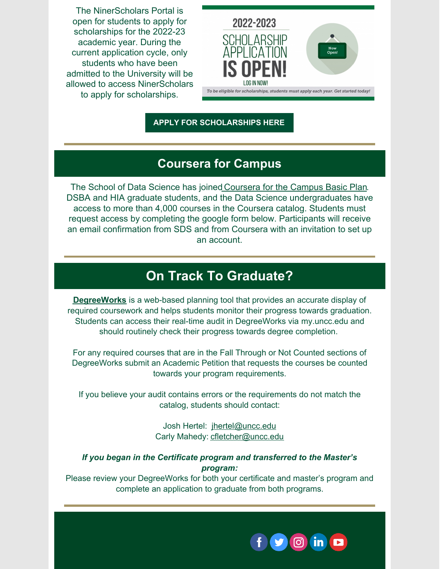The NinerScholars Portal is open for students to apply for scholarships for the 2022-23 academic year. During the current application cycle, only students who have been admitted to the University will be allowed to access NinerScholars to apply for scholarships.



**APPLY FOR [SCHOLARSHIPS](https://scholarships.charlotte.edu/) HERE**

#### **Coursera for Campus**

The School of Data Science has joined [Coursera](https://files.constantcontact.com/32a10b83701/e5d0022e-ef5f-4a30-9626-af765730c8a9.pdf) for the Campus Basic Plan. DSBA and HIA graduate students, and the Data Science undergraduates have access to more than 4,000 courses in the Coursera catalog. Students must request access by completing the google form below. Participants will receive an email confirmation from SDS and from Coursera with an invitation to set up an account.

## **On Track To Graduate?**

**[DegreeWorks](https://www.youtube.com/watch?v=thiIHu-pdHM)** is a web-based planning tool that provides an accurate display of required coursework and helps students monitor their progress towards graduation. Students can access their real-time audit in DegreeWorks via [my.uncc.edu](http://my.uncc.edu/) and should routinely check their progress towards degree completion.

For any required courses that are in the Fall Through or Not Counted sections of DegreeWorks submit an Academic Petition that requests the courses be counted towards your program requirements.

If you believe your audit contains errors or the requirements do not match the catalog, students should contact:

> Josh Hertel: [jhertel@uncc.edu](mailto:jhertel@uncc.edu) Carly Mahedy: [cfletcher@uncc.edu](mailto:cfletcher@uncc.edu)

#### *If you began in the Certificate program and transferred to the Master's program:*

Please review your DegreeWorks for both your certificate and master's program and complete an application to graduate from both programs.